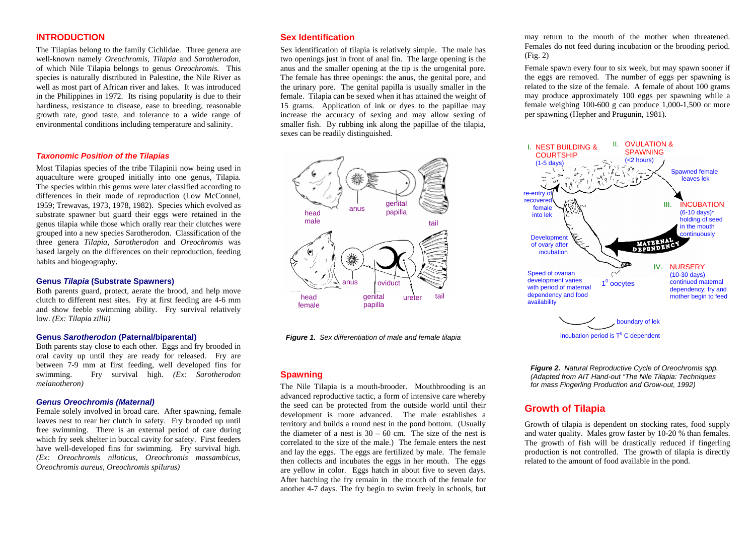### **INTRODUCTION**

The Tilapias belong to the family Cichlidae. Three genera are well-known namely *Oreochromis, Tilapia* and *Sarotherodon*, of which Nile Tilapia belongs to genus *Oreochromis.* This species is naturally distributed in Palestine, the Nile River as well as most part of African river and lakes. It was introduced in the Philippines in 1972. Its rising popularity is due to their hardiness, resistance to disease, ease to breeding, reasonable growth rate, good taste, and tolerance to a wide range of environmental conditions including temperature and salinity.

#### *Taxonomic Position of the Tilapias*

Most Tilapias species of the tribe Tilapinii now being used in aquaculture were grouped initially into one genus, Tilapia. The species within this genus were later classified according to differences in their mode of reproduction (Low McConnel, 1959; Trewavas, 1973, 1978, 1982). Species which evolved as substrate spawner but guard their eggs were retained in the genus tilapia while those which orally rear their clutches were grouped into a new species Sarotherodon. Classification of the three genera *Tilapia, Sarotherodon* and *Oreochromis* was based largely on the differences on their reproduction, feeding habits and biogeography.

#### **Genus** *Tilapia* **(Substrate Spawners)**

Both parents guard, protect, aerate the brood, and help move clutch to different nest sites. Fry at first feeding are 4-6 mm and show feeble swimming ability. Fry survival relatively low. *(Ex: Tilapia zillii)* 

#### **Genus** *Sarotherodon* **(Paternal/biparental)**

Both parents stay close to each other. Eggs and fry brooded in oral cavity up until they are ready for released. Fry are between 7-9 mm at first feeding, well developed fins for swimming. Fry survival high. *(Ex: Sarotherodon melanotheron)*

#### *Genus Oreochromis (Maternal)*

Female solely involved in broad care. After spawning, female leaves nest to rear her clutch in safety. Fry brooded up until free swimming. There is an external period of care during which fry seek shelter in buccal cavity for safety. First feeders have well-developed fins for swimming. Fry survival high. *(Ex: Oreochromis niloticus, Oreochromis massambicus, Oreochromis aureus, Oreochromis spilurus)*

## **Sex Identification**

Sex identification of tilapia is relatively simple. The male has two openings just in front of anal fin. The large opening is the anus and the smaller opening at the tip is the urogenital pore. The female has three openings: the anus, the genital pore, and the urinary pore. The genital papilla is usually smaller in the female. Tilapia can be sexed when it has attained the weight of 15 grams. Application of ink or dyes to the papillae may increase the accuracy of sexing and may allow sexing of smaller fish. By rubbing ink along the papillae of the tilapia, sexes can be readily distinguished.



*Figure 1. Sex differentiation of male and female tilapia*

#### **Spawning**

The Nile Tilapia is a mouth-brooder. Mouthbrooding is an advanced reproductive tactic, a form of intensive care whereby the seed can be protected from the outside world until their development is more advanced. The male establishes a territory and builds a round nest in the pond bottom. (Usually the diameter of a nest is  $30 - 60$  cm. The size of the nest is correlated to the size of the male.) The female enters the nest and lay the eggs. The eggs are fertilized by male. The female then collects and incubates the eggs in her mouth. The eggs are yellow in color. Eggs hatch in about five to seven days. After hatching the fry remain in the mouth of the female for another 4-7 days. The fry begin to swim freely in schools, but

may return to the mouth of the mother when threatened. Females do not feed during incubation or the brooding period. (Fig. 2)

Female spawn every four to six week, but may spawn sooner if the eggs are removed. The number of eggs per spawning is related to the size of the female. A female of about 100 grams may produce approximately 100 eggs per spawning while a female weighing 100-600 g can produce 1,000-1,500 or more per spawning (Hepher and Prugunin, 1981).



*Figure 2. Natural Reproductive Cycle of Oreochromis spp. (Adapted from AIT Hand-out "The Nile Tilapia: Techniques for mass Fingerling Production and Grow-out, 1992)* 

## **Growth of Tilapia**

Growth of tilapia is dependent on stocking rates, food supply and water quality. Males grow faster by 10-20 % than females. The growth of fish will be drastically reduced if fingerling production is not controlled. The growth of tilapia is directly related to the amount of food available in the pond.